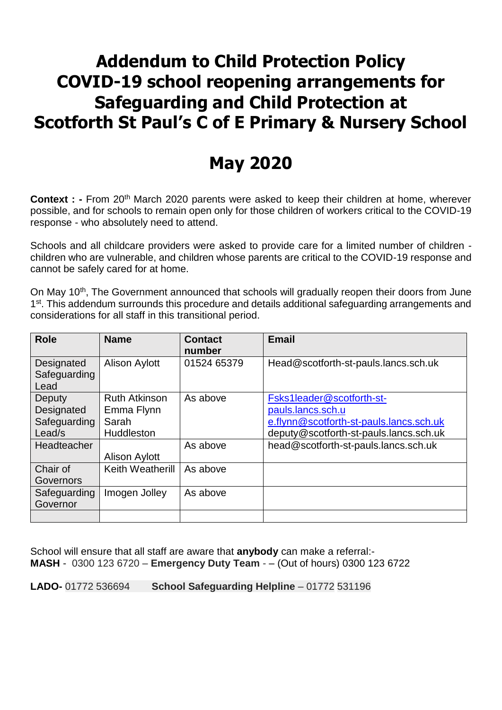## **Addendum to Child Protection Policy COVID-19 school reopening arrangements for Safeguarding and Child Protection at Scotforth St Paul's C of E Primary & Nursery School**

## **May 2020**

**Context :** - From 20<sup>th</sup> March 2020 parents were asked to keep their children at home, wherever possible, and for schools to remain open only for those children of workers critical to the COVID-19 response - who absolutely need to attend.

Schools and all childcare providers were asked to provide care for a limited number of children children who are vulnerable, and children whose parents are critical to the COVID-19 response and cannot be safely cared for at home.

On May 10<sup>th</sup>, The Government announced that schools will gradually reopen their doors from June 1<sup>st</sup>. This addendum surrounds this procedure and details additional safeguarding arrangements and considerations for all staff in this transitional period.

| Head@scotforth-st-pauls.lancs.sch.uk                                                                           |
|----------------------------------------------------------------------------------------------------------------|
| Fsks1leader@scotforth-st-<br>e.flynn@scotforth-st-pauls.lancs.sch.uk<br>deputy@scotforth-st-pauls.lancs.sch.uk |
| head@scotforth-st-pauls.lancs.sch.uk                                                                           |
|                                                                                                                |
|                                                                                                                |
|                                                                                                                |

School will ensure that all staff are aware that **anybody** can make a referral:- **MASH** - 0300 123 6720 – **Emergency Duty Team** - – (Out of hours) 0300 123 6722

**LADO-** 01772 536694 **School Safeguarding Helpline** – 01772 531196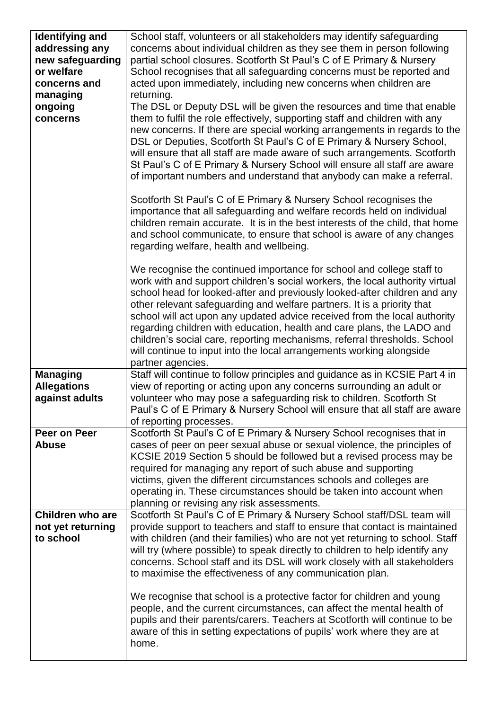| <b>Identifying and</b><br>addressing any<br>new safeguarding<br>or welfare<br>concerns and<br>managing<br>ongoing<br>concerns | School staff, volunteers or all stakeholders may identify safeguarding<br>concerns about individual children as they see them in person following<br>partial school closures. Scotforth St Paul's C of E Primary & Nursery<br>School recognises that all safeguarding concerns must be reported and<br>acted upon immediately, including new concerns when children are<br>returning.<br>The DSL or Deputy DSL will be given the resources and time that enable<br>them to fulfil the role effectively, supporting staff and children with any<br>new concerns. If there are special working arrangements in regards to the<br>DSL or Deputies, Scotforth St Paul's C of E Primary & Nursery School,<br>will ensure that all staff are made aware of such arrangements. Scotforth<br>St Paul's C of E Primary & Nursery School will ensure all staff are aware<br>of important numbers and understand that anybody can make a referral.<br>Scotforth St Paul's C of E Primary & Nursery School recognises the<br>importance that all safeguarding and welfare records held on individual<br>children remain accurate. It is in the best interests of the child, that home |
|-------------------------------------------------------------------------------------------------------------------------------|---------------------------------------------------------------------------------------------------------------------------------------------------------------------------------------------------------------------------------------------------------------------------------------------------------------------------------------------------------------------------------------------------------------------------------------------------------------------------------------------------------------------------------------------------------------------------------------------------------------------------------------------------------------------------------------------------------------------------------------------------------------------------------------------------------------------------------------------------------------------------------------------------------------------------------------------------------------------------------------------------------------------------------------------------------------------------------------------------------------------------------------------------------------------------|
|                                                                                                                               | and school communicate, to ensure that school is aware of any changes<br>regarding welfare, health and wellbeing.                                                                                                                                                                                                                                                                                                                                                                                                                                                                                                                                                                                                                                                                                                                                                                                                                                                                                                                                                                                                                                                         |
|                                                                                                                               | We recognise the continued importance for school and college staff to<br>work with and support children's social workers, the local authority virtual<br>school head for looked-after and previously looked-after children and any<br>other relevant safeguarding and welfare partners. It is a priority that<br>school will act upon any updated advice received from the local authority<br>regarding children with education, health and care plans, the LADO and<br>children's social care, reporting mechanisms, referral thresholds. School<br>will continue to input into the local arrangements working alongside<br>partner agencies.                                                                                                                                                                                                                                                                                                                                                                                                                                                                                                                            |
| <b>Managing</b><br><b>Allegations</b><br>against adults                                                                       | Staff will continue to follow principles and guidance as in KCSIE Part 4 in<br>view of reporting or acting upon any concerns surrounding an adult or<br>volunteer who may pose a safeguarding risk to children. Scotforth St<br>Paul's C of E Primary & Nursery School will ensure that all staff are aware<br>of reporting processes.                                                                                                                                                                                                                                                                                                                                                                                                                                                                                                                                                                                                                                                                                                                                                                                                                                    |
| Peer on Peer<br><b>Abuse</b>                                                                                                  | Scotforth St Paul's C of E Primary & Nursery School recognises that in<br>cases of peer on peer sexual abuse or sexual violence, the principles of<br>KCSIE 2019 Section 5 should be followed but a revised process may be<br>required for managing any report of such abuse and supporting<br>victims, given the different circumstances schools and colleges are<br>operating in. These circumstances should be taken into account when<br>planning or revising any risk assessments.                                                                                                                                                                                                                                                                                                                                                                                                                                                                                                                                                                                                                                                                                   |
| <b>Children who are</b><br>not yet returning<br>to school                                                                     | Scotforth St Paul's C of E Primary & Nursery School staff/DSL team will<br>provide support to teachers and staff to ensure that contact is maintained<br>with children (and their families) who are not yet returning to school. Staff<br>will try (where possible) to speak directly to children to help identify any<br>concerns. School staff and its DSL will work closely with all stakeholders<br>to maximise the effectiveness of any communication plan.                                                                                                                                                                                                                                                                                                                                                                                                                                                                                                                                                                                                                                                                                                          |
|                                                                                                                               | We recognise that school is a protective factor for children and young<br>people, and the current circumstances, can affect the mental health of<br>pupils and their parents/carers. Teachers at Scotforth will continue to be<br>aware of this in setting expectations of pupils' work where they are at<br>home.                                                                                                                                                                                                                                                                                                                                                                                                                                                                                                                                                                                                                                                                                                                                                                                                                                                        |